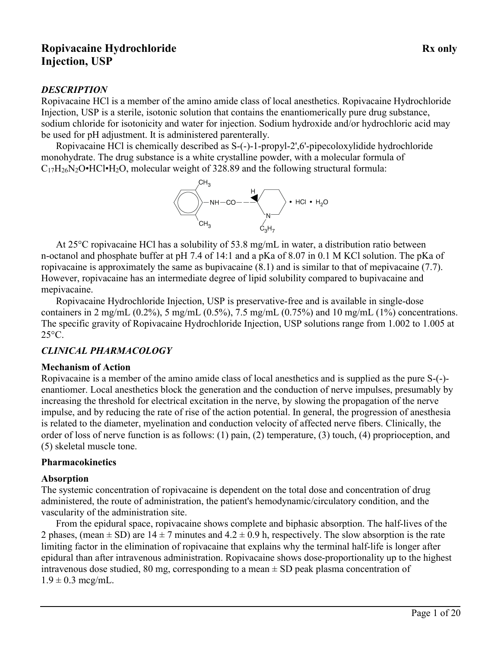# **Ropivacaine Hydrochloride Rx only Injection, USP**

### *DESCRIPTION*

Ropivacaine HCl is a member of the amino amide class of local anesthetics. Ropivacaine Hydrochloride Injection, USP is a sterile, isotonic solution that contains the enantiomerically pure drug substance, sodium chloride for isotonicity and water for injection. Sodium hydroxide and/or hydrochloric acid may be used for pH adjustment. It is administered parenterally.

Ropivacaine HCl is chemically described as S-(-)-1-propyl-2',6'-pipecoloxylidide hydrochloride monohydrate. The drug substance is a white crystalline powder, with a molecular formula of  $C_{17}H_{26}N_2O\cdot HCl\cdot H_2O$ , molecular weight of 328.89 and the following structural formula:



At 25°C ropivacaine HCl has a solubility of 53.8 mg/mL in water, a distribution ratio between n-octanol and phosphate buffer at pH 7.4 of 14:1 and a pKa of 8.07 in 0.1 M KCl solution. The pKa of ropivacaine is approximately the same as bupivacaine (8.1) and is similar to that of mepivacaine (7.7). However, ropivacaine has an intermediate degree of lipid solubility compared to bupivacaine and mepivacaine.

Ropivacaine Hydrochloride Injection, USP is preservative-free and is available in single-dose containers in 2 mg/mL (0.2%), 5 mg/mL (0.5%), 7.5 mg/mL (0.75%) and 10 mg/mL (1%) concentrations. The specific gravity of Ropivacaine Hydrochloride Injection, USP solutions range from 1.002 to 1.005 at 25°C.

### *CLINICAL PHARMACOLOGY*

#### **Mechanism of Action**

Ropivacaine is a member of the amino amide class of local anesthetics and is supplied as the pure S-(-) enantiomer. Local anesthetics block the generation and the conduction of nerve impulses, presumably by increasing the threshold for electrical excitation in the nerve, by slowing the propagation of the nerve impulse, and by reducing the rate of rise of the action potential. In general, the progression of anesthesia is related to the diameter, myelination and conduction velocity of affected nerve fibers. Clinically, the order of loss of nerve function is as follows: (1) pain, (2) temperature, (3) touch, (4) proprioception, and (5) skeletal muscle tone.

### **Pharmacokinetics**

### **Absorption**

The systemic concentration of ropivacaine is dependent on the total dose and concentration of drug administered, the route of administration, the patient's hemodynamic/circulatory condition, and the vascularity of the administration site.

From the epidural space, ropivacaine shows complete and biphasic absorption. The half-lives of the 2 phases, (mean  $\pm$  SD) are 14  $\pm$  7 minutes and 4.2  $\pm$  0.9 h, respectively. The slow absorption is the rate limiting factor in the elimination of ropivacaine that explains why the terminal half-life is longer after epidural than after intravenous administration. Ropivacaine shows dose-proportionality up to the highest intravenous dose studied, 80 mg, corresponding to a mean  $\pm$  SD peak plasma concentration of  $1.9 \pm 0.3$  mcg/mL.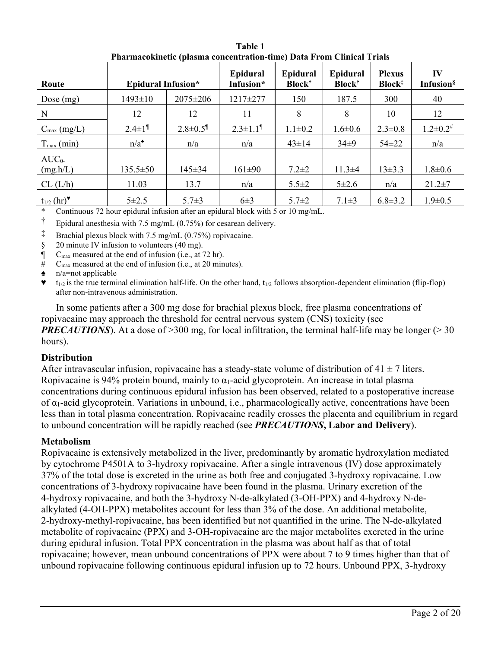| Route                       | <b>Epidural Infusion*</b> |                            | Epidural<br>Infusion*      | Epidural<br><b>Block</b> <sup>†</sup> | Epidural<br><b>Block</b> <sup>†</sup> | <b>Plexus</b><br>$Block^{\ddagger}$ | IV<br><b>Infusion</b> §    |
|-----------------------------|---------------------------|----------------------------|----------------------------|---------------------------------------|---------------------------------------|-------------------------------------|----------------------------|
| Dose $(mg)$                 | $1493 \pm 10$             | $2075 \pm 206$             | 1217±277                   | 150                                   | 187.5                                 | 300                                 | 40                         |
| $\mathbf N$                 | 12                        | 12                         | 11                         | 8                                     | 8                                     | 10                                  | 12                         |
| $C_{\text{max}}$ (mg/L)     | $2.4 \pm 1$ <sup>1</sup>  | $2.8 \pm 0.5$ <sup>1</sup> | $2.3 \pm 1.1$ <sup>1</sup> | $1.1 \pm 0.2$                         | $1.6 \pm 0.6$                         | $2.3 \pm 0.8$                       | $1.2 \pm 0.2$ <sup>#</sup> |
| $T_{\text{max}}$ (min)      | $n/a^*$                   | n/a                        | n/a                        | $43 \pm 14$                           | $34\pm9$                              | $54 \pm 22$                         | n/a                        |
| $AUC_0$<br>(mg.h/L)         | $135.5 \pm 50$            | $145 \pm 34$               | $161 \pm 90$               | $7.2 \pm 2$                           | $11.3 \pm 4$                          | $13\pm3.3$                          | $1.8 \pm 0.6$              |
| CL (L/h)                    | 11.03                     | 13.7                       | n/a                        | $5.5 \pm 2$                           | $5 \pm 2.6$                           | n/a                                 | $21.2 \pm 7$               |
| $t_{1/2}$ (hr) <sup>*</sup> | $5 + 2.5$                 | $5.7 \pm 3$                | $6\pm3$                    | $5.7 \pm 2$                           | $7.1 \pm 3$                           | $6.8 \pm 3.2$                       | $1.9 \pm 0.5$              |

**Table 1 Pharmacokinetic (plasma concentration-time) Data From Clinical Trials**

\* Continuous 72 hour epidural infusion after an epidural block with 5 or 10 mg/mL.

† Epidural anesthesia with 7.5 mg/mL (0.75%) for cesarean delivery.

 $\ddagger$  Brachial plexus block with 7.5 mg/mL (0.75%) ropivacaine.

§ 20 minute IV infusion to volunteers (40 mg).

 $C_{\text{max}}$  measured at the end of infusion (i.e., at 72 hr).

 $\#\quad C_{\text{max}}$  measured at the end of infusion (i.e., at 20 minutes).

♠ n/a=not applicable

 $t_{1/2}$  is the true terminal elimination half-life. On the other hand,  $t_{1/2}$  follows absorption-dependent elimination (flip-flop) after non-intravenous administration.

In some patients after a 300 mg dose for brachial plexus block, free plasma concentrations of ropivacaine may approach the threshold for central nervous system (CNS) toxicity (see *PRECAUTIONS*). At a dose of >300 mg, for local infiltration, the terminal half-life may be longer (> 30 hours).

### **Distribution**

After intravascular infusion, ropivacaine has a steady-state volume of distribution of  $41 \pm 7$  liters. Ropivacaine is 94% protein bound, mainly to  $\alpha_1$ -acid glycoprotein. An increase in total plasma concentrations during continuous epidural infusion has been observed, related to a postoperative increase of  $\alpha_1$ -acid glycoprotein. Variations in unbound, i.e., pharmacologically active, concentrations have been less than in total plasma concentration. Ropivacaine readily crosses the placenta and equilibrium in regard to unbound concentration will be rapidly reached (see *PRECAUTIONS***, Labor and Delivery**).

## **Metabolism**

Ropivacaine is extensively metabolized in the liver, predominantly by aromatic hydroxylation mediated by cytochrome P4501A to 3-hydroxy ropivacaine. After a single intravenous (IV) dose approximately 37% of the total dose is excreted in the urine as both free and conjugated 3-hydroxy ropivacaine. Low concentrations of 3-hydroxy ropivacaine have been found in the plasma. Urinary excretion of the 4-hydroxy ropivacaine, and both the 3-hydroxy N-de-alkylated (3-OH-PPX) and 4-hydroxy N-dealkylated (4-OH-PPX) metabolites account for less than 3% of the dose. An additional metabolite, 2-hydroxy-methyl-ropivacaine, has been identified but not quantified in the urine. The N-de-alkylated metabolite of ropivacaine (PPX) and 3-OH-ropivacaine are the major metabolites excreted in the urine during epidural infusion. Total PPX concentration in the plasma was about half as that of total ropivacaine; however, mean unbound concentrations of PPX were about 7 to 9 times higher than that of unbound ropivacaine following continuous epidural infusion up to 72 hours. Unbound PPX, 3-hydroxy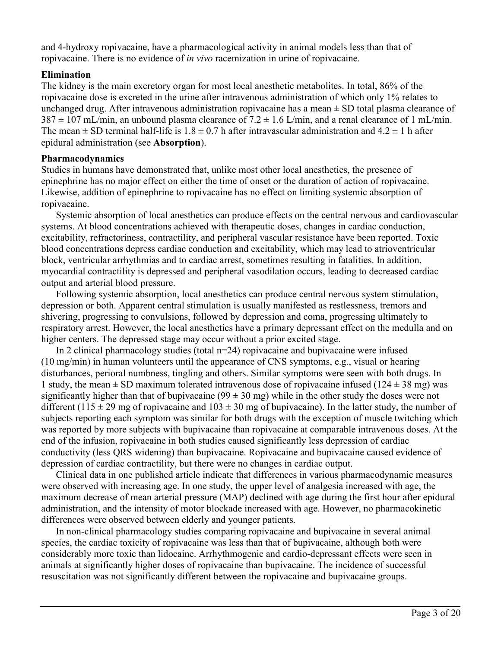and 4-hydroxy ropivacaine, have a pharmacological activity in animal models less than that of ropivacaine. There is no evidence of *in vivo* racemization in urine of ropivacaine.

### **Elimination**

The kidney is the main excretory organ for most local anesthetic metabolites. In total, 86% of the ropivacaine dose is excreted in the urine after intravenous administration of which only 1% relates to unchanged drug. After intravenous administration ropivacaine has a mean  $\pm$  SD total plasma clearance of  $387 \pm 107$  mL/min, an unbound plasma clearance of  $7.2 \pm 1.6$  L/min, and a renal clearance of 1 mL/min. The mean  $\pm$  SD terminal half-life is 1.8  $\pm$  0.7 h after intravascular administration and 4.2  $\pm$  1 h after epidural administration (see **Absorption**).

#### **Pharmacodynamics**

Studies in humans have demonstrated that, unlike most other local anesthetics, the presence of epinephrine has no major effect on either the time of onset or the duration of action of ropivacaine. Likewise, addition of epinephrine to ropivacaine has no effect on limiting systemic absorption of ropivacaine.

Systemic absorption of local anesthetics can produce effects on the central nervous and cardiovascular systems. At blood concentrations achieved with therapeutic doses, changes in cardiac conduction, excitability, refractoriness, contractility, and peripheral vascular resistance have been reported. Toxic blood concentrations depress cardiac conduction and excitability, which may lead to atrioventricular block, ventricular arrhythmias and to cardiac arrest, sometimes resulting in fatalities. In addition, myocardial contractility is depressed and peripheral vasodilation occurs, leading to decreased cardiac output and arterial blood pressure.

Following systemic absorption, local anesthetics can produce central nervous system stimulation, depression or both. Apparent central stimulation is usually manifested as restlessness, tremors and shivering, progressing to convulsions, followed by depression and coma, progressing ultimately to respiratory arrest. However, the local anesthetics have a primary depressant effect on the medulla and on higher centers. The depressed stage may occur without a prior excited stage.

In 2 clinical pharmacology studies (total n=24) ropivacaine and bupivacaine were infused (10 mg/min) in human volunteers until the appearance of CNS symptoms, e.g., visual or hearing disturbances, perioral numbness, tingling and others. Similar symptoms were seen with both drugs. In 1 study, the mean  $\pm$  SD maximum tolerated intravenous dose of ropivacaine infused (124  $\pm$  38 mg) was significantly higher than that of bupivacaine ( $99 \pm 30$  mg) while in the other study the doses were not different (115  $\pm$  29 mg of ropivacaine and 103  $\pm$  30 mg of bupivacaine). In the latter study, the number of subjects reporting each symptom was similar for both drugs with the exception of muscle twitching which was reported by more subjects with bupivacaine than ropivacaine at comparable intravenous doses. At the end of the infusion, ropivacaine in both studies caused significantly less depression of cardiac conductivity (less QRS widening) than bupivacaine. Ropivacaine and bupivacaine caused evidence of depression of cardiac contractility, but there were no changes in cardiac output.

Clinical data in one published article indicate that differences in various pharmacodynamic measures were observed with increasing age. In one study, the upper level of analgesia increased with age, the maximum decrease of mean arterial pressure (MAP) declined with age during the first hour after epidural administration, and the intensity of motor blockade increased with age. However, no pharmacokinetic differences were observed between elderly and younger patients.

In non-clinical pharmacology studies comparing ropivacaine and bupivacaine in several animal species, the cardiac toxicity of ropivacaine was less than that of bupivacaine, although both were considerably more toxic than lidocaine. Arrhythmogenic and cardio-depressant effects were seen in animals at significantly higher doses of ropivacaine than bupivacaine. The incidence of successful resuscitation was not significantly different between the ropivacaine and bupivacaine groups.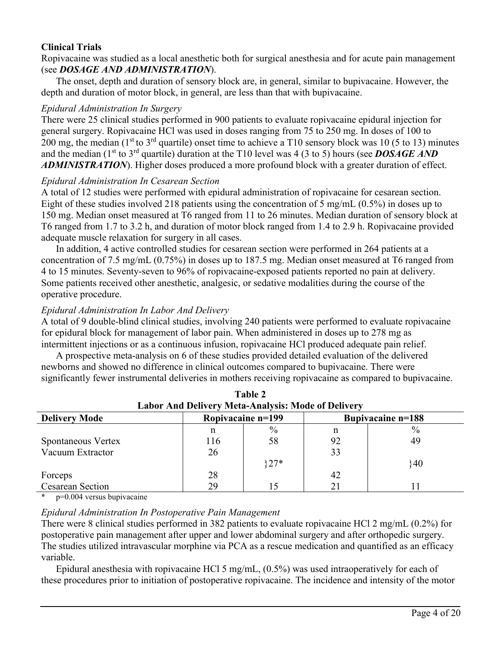## **Clinical Trials**

Ropivacaine was studied as a local anesthetic both for surgical anesthesia and for acute pain management (see *DOSAGE AND ADMINISTRATION*).

The onset, depth and duration of sensory block are, in general, similar to bupivacaine. However, the depth and duration of motor block, in general, are less than that with bupivacaine.

#### *Epidural Administration In Surgery*

There were 25 clinical studies performed in 900 patients to evaluate ropivacaine epidural injection for general surgery. Ropivacaine HCl was used in doses ranging from 75 to 250 mg. In doses of 100 to 200 mg, the median ( $1<sup>st</sup>$  to  $3<sup>rd</sup>$  quartile) onset time to achieve a T10 sensory block was 10 (5 to 13) minutes and the median (1<sup>st</sup> to 3<sup>rd</sup> quartile) duration at the T10 level was 4 (3 to 5) hours (see **DOSAGE AND** *ADMINISTRATION*). Higher doses produced a more profound block with a greater duration of effect.

#### *Epidural Administration In Cesarean Section*

A total of 12 studies were performed with epidural administration of ropivacaine for cesarean section. Eight of these studies involved 218 patients using the concentration of 5 mg/mL (0.5%) in doses up to 150 mg. Median onset measured at T6 ranged from 11 to 26 minutes. Median duration of sensory block at T6 ranged from 1.7 to 3.2 h, and duration of motor block ranged from 1.4 to 2.9 h. Ropivacaine provided adequate muscle relaxation for surgery in all cases.

In addition, 4 active controlled studies for cesarean section were performed in 264 patients at a concentration of 7.5 mg/mL (0.75%) in doses up to 187.5 mg. Median onset measured at T6 ranged from 4 to 15 minutes. Seventy-seven to 96% of ropivacaine-exposed patients reported no pain at delivery. Some patients received other anesthetic, analgesic, or sedative modalities during the course of the operative procedure.

### *Epidural Administration In Labor And Delivery*

A total of 9 double-blind clinical studies, involving 240 patients were performed to evaluate ropivacaine for epidural block for management of labor pain. When administered in doses up to 278 mg as intermittent injections or as a continuous infusion, ropivacaine HCl produced adequate pain relief.

A prospective meta-analysis on 6 of these studies provided detailed evaluation of the delivered newborns and showed no difference in clinical outcomes compared to bupivacaine. There were significantly fewer instrumental deliveries in mothers receiving ropivacaine as compared to bupivacaine.

| <b>Delivery Mode</b>    | Ropivacaine n=199 |       |    | <b>Bupivacaine n=188</b> |  |  |  |  |
|-------------------------|-------------------|-------|----|--------------------------|--|--|--|--|
|                         | n                 | $\%$  | n  | $\%$                     |  |  |  |  |
| Spontaneous Vertex      | 116               | 58    | 92 | 49                       |  |  |  |  |
| Vacuum Extractor        | 26                |       | 33 |                          |  |  |  |  |
|                         |                   | $27*$ |    | ∤40                      |  |  |  |  |
| Forceps                 | 28                |       | 42 |                          |  |  |  |  |
| <b>Cesarean Section</b> | 29                |       |    |                          |  |  |  |  |

| Table 2                                            |  |
|----------------------------------------------------|--|
| Labor And Delivery Meta-Analysis: Mode of Delivery |  |

 $p=0.004$  versus bupivacaine

### *Epidural Administration In Postoperative Pain Management*

There were 8 clinical studies performed in 382 patients to evaluate ropivacaine HCl 2 mg/mL (0.2%) for postoperative pain management after upper and lower abdominal surgery and after orthopedic surgery. The studies utilized intravascular morphine via PCA as a rescue medication and quantified as an efficacy variable.

Epidural anesthesia with ropivacaine HCl 5 mg/mL, (0.5%) was used intraoperatively for each of these procedures prior to initiation of postoperative ropivacaine. The incidence and intensity of the motor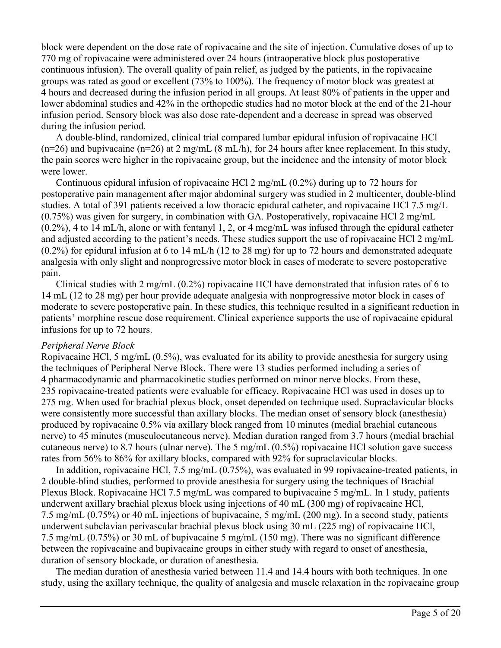block were dependent on the dose rate of ropivacaine and the site of injection. Cumulative doses of up to 770 mg of ropivacaine were administered over 24 hours (intraoperative block plus postoperative continuous infusion). The overall quality of pain relief, as judged by the patients, in the ropivacaine groups was rated as good or excellent (73% to 100%). The frequency of motor block was greatest at 4 hours and decreased during the infusion period in all groups. At least 80% of patients in the upper and lower abdominal studies and 42% in the orthopedic studies had no motor block at the end of the 21-hour infusion period. Sensory block was also dose rate-dependent and a decrease in spread was observed during the infusion period.

A double-blind, randomized, clinical trial compared lumbar epidural infusion of ropivacaine HCl  $(n=26)$  and bupivacaine  $(n=26)$  at 2 mg/mL  $(8 \text{ mL/h})$ , for 24 hours after knee replacement. In this study, the pain scores were higher in the ropivacaine group, but the incidence and the intensity of motor block were lower.

Continuous epidural infusion of ropivacaine HCl 2 mg/mL (0.2%) during up to 72 hours for postoperative pain management after major abdominal surgery was studied in 2 multicenter, double-blind studies. A total of 391 patients received a low thoracic epidural catheter, and ropivacaine HCl 7.5 mg/L (0.75%) was given for surgery, in combination with GA. Postoperatively, ropivacaine HCl 2 mg/mL (0.2%), 4 to 14 mL/h, alone or with fentanyl 1, 2, or 4 mcg/mL was infused through the epidural catheter and adjusted according to the patient's needs. These studies support the use of ropivacaine HCl 2 mg/mL (0.2%) for epidural infusion at 6 to 14 mL/h (12 to 28 mg) for up to 72 hours and demonstrated adequate analgesia with only slight and nonprogressive motor block in cases of moderate to severe postoperative pain.

Clinical studies with 2 mg/mL (0.2%) ropivacaine HCl have demonstrated that infusion rates of 6 to 14 mL (12 to 28 mg) per hour provide adequate analgesia with nonprogressive motor block in cases of moderate to severe postoperative pain. In these studies, this technique resulted in a significant reduction in patients' morphine rescue dose requirement. Clinical experience supports the use of ropivacaine epidural infusions for up to 72 hours.

#### *Peripheral Nerve Block*

Ropivacaine HCl, 5 mg/mL (0.5%), was evaluated for its ability to provide anesthesia for surgery using the techniques of Peripheral Nerve Block. There were 13 studies performed including a series of 4 pharmacodynamic and pharmacokinetic studies performed on minor nerve blocks. From these, 235 ropivacaine-treated patients were evaluable for efficacy. Ropivacaine HCl was used in doses up to 275 mg. When used for brachial plexus block, onset depended on technique used. Supraclavicular blocks were consistently more successful than axillary blocks. The median onset of sensory block (anesthesia) produced by ropivacaine 0.5% via axillary block ranged from 10 minutes (medial brachial cutaneous nerve) to 45 minutes (musculocutaneous nerve). Median duration ranged from 3.7 hours (medial brachial cutaneous nerve) to 8.7 hours (ulnar nerve). The 5 mg/mL  $(0.5\%)$  ropivacaine HCl solution gave success rates from 56% to 86% for axillary blocks, compared with 92% for supraclavicular blocks.

In addition, ropivacaine HCl, 7.5 mg/mL (0.75%), was evaluated in 99 ropivacaine-treated patients, in 2 double-blind studies, performed to provide anesthesia for surgery using the techniques of Brachial Plexus Block. Ropivacaine HCl 7.5 mg/mL was compared to bupivacaine 5 mg/mL. In 1 study, patients underwent axillary brachial plexus block using injections of 40 mL (300 mg) of ropivacaine HCl, 7.5 mg/mL (0.75%) or 40 mL injections of bupivacaine, 5 mg/mL (200 mg). In a second study, patients underwent subclavian perivascular brachial plexus block using 30 mL (225 mg) of ropivacaine HCl, 7.5 mg/mL (0.75%) or 30 mL of bupivacaine 5 mg/mL (150 mg). There was no significant difference between the ropivacaine and bupivacaine groups in either study with regard to onset of anesthesia, duration of sensory blockade, or duration of anesthesia.

The median duration of anesthesia varied between 11.4 and 14.4 hours with both techniques. In one study, using the axillary technique, the quality of analgesia and muscle relaxation in the ropivacaine group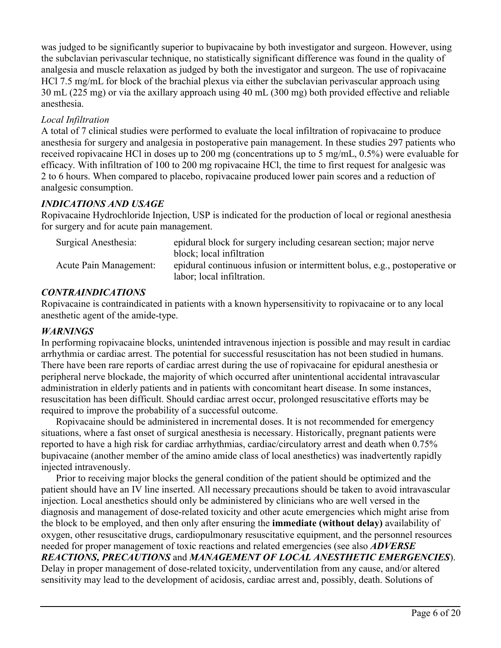was judged to be significantly superior to bupivacaine by both investigator and surgeon. However, using the subclavian perivascular technique, no statistically significant difference was found in the quality of analgesia and muscle relaxation as judged by both the investigator and surgeon. The use of ropivacaine HCl 7.5 mg/mL for block of the brachial plexus via either the subclavian perivascular approach using 30 mL (225 mg) or via the axillary approach using 40 mL (300 mg) both provided effective and reliable anesthesia.

## *Local Infiltration*

A total of 7 clinical studies were performed to evaluate the local infiltration of ropivacaine to produce anesthesia for surgery and analgesia in postoperative pain management. In these studies 297 patients who received ropivacaine HCl in doses up to 200 mg (concentrations up to 5 mg/mL, 0.5%) were evaluable for efficacy. With infiltration of 100 to 200 mg ropivacaine HCl, the time to first request for analgesic was 2 to 6 hours. When compared to placebo, ropivacaine produced lower pain scores and a reduction of analgesic consumption.

## *INDICATIONS AND USAGE*

Ropivacaine Hydrochloride Injection, USP is indicated for the production of local or regional anesthesia for surgery and for acute pain management.

| Surgical Anesthesia:          | epidural block for surgery including cesarean section; major nerve<br>block; local infiltration          |
|-------------------------------|----------------------------------------------------------------------------------------------------------|
| <b>Acute Pain Management:</b> | epidural continuous infusion or intermittent bolus, e.g., postoperative or<br>labor; local infiltration. |

## *CONTRAINDICATIONS*

Ropivacaine is contraindicated in patients with a known hypersensitivity to ropivacaine or to any local anesthetic agent of the amide-type.

## *WARNINGS*

In performing ropivacaine blocks, unintended intravenous injection is possible and may result in cardiac arrhythmia or cardiac arrest. The potential for successful resuscitation has not been studied in humans. There have been rare reports of cardiac arrest during the use of ropivacaine for epidural anesthesia or peripheral nerve blockade, the majority of which occurred after unintentional accidental intravascular administration in elderly patients and in patients with concomitant heart disease. In some instances, resuscitation has been difficult. Should cardiac arrest occur, prolonged resuscitative efforts may be required to improve the probability of a successful outcome.

Ropivacaine should be administered in incremental doses. It is not recommended for emergency situations, where a fast onset of surgical anesthesia is necessary. Historically, pregnant patients were reported to have a high risk for cardiac arrhythmias, cardiac/circulatory arrest and death when 0.75% bupivacaine (another member of the amino amide class of local anesthetics) was inadvertently rapidly injected intravenously.

Prior to receiving major blocks the general condition of the patient should be optimized and the patient should have an IV line inserted. All necessary precautions should be taken to avoid intravascular injection. Local anesthetics should only be administered by clinicians who are well versed in the diagnosis and management of dose-related toxicity and other acute emergencies which might arise from the block to be employed, and then only after ensuring the **immediate (without delay)** availability of oxygen, other resuscitative drugs, cardiopulmonary resuscitative equipment, and the personnel resources needed for proper management of toxic reactions and related emergencies (see also *ADVERSE REACTIONS, PRECAUTIONS* and *MANAGEMENT OF LOCAL ANESTHETIC EMERGENCIES*).

Delay in proper management of dose-related toxicity, underventilation from any cause, and/or altered sensitivity may lead to the development of acidosis, cardiac arrest and, possibly, death. Solutions of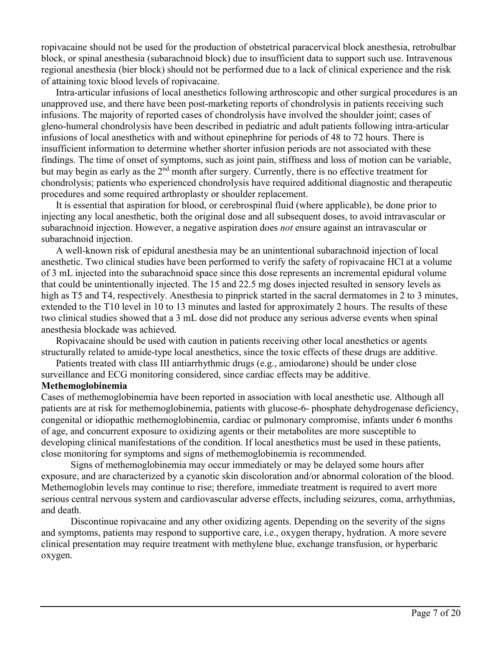ropivacaine should not be used for the production of obstetrical paracervical block anesthesia, retrobulbar block, or spinal anesthesia (subarachnoid block) due to insufficient data to support such use. Intravenous regional anesthesia (bier block) should not be performed due to a lack of clinical experience and the risk of attaining toxic blood levels of ropivacaine.

Intra-articular infusions of local anesthetics following arthroscopic and other surgical procedures is an unapproved use, and there have been post-marketing reports of chondrolysis in patients receiving such infusions. The majority of reported cases of chondrolysis have involved the shoulder joint; cases of gleno-humeral chondrolysis have been described in pediatric and adult patients following intra-articular infusions of local anesthetics with and without epinephrine for periods of 48 to 72 hours. There is insufficient information to determine whether shorter infusion periods are not associated with these findings. The time of onset of symptoms, such as joint pain, stiffness and loss of motion can be variable, but may begin as early as the 2<sup>nd</sup> month after surgery. Currently, there is no effective treatment for chondrolysis; patients who experienced chondrolysis have required additional diagnostic and therapeutic procedures and some required arthroplasty or shoulder replacement.

It is essential that aspiration for blood, or cerebrospinal fluid (where applicable), be done prior to injecting any local anesthetic, both the original dose and all subsequent doses, to avoid intravascular or subarachnoid injection. However, a negative aspiration does *not* ensure against an intravascular or subarachnoid injection.

A well-known risk of epidural anesthesia may be an unintentional subarachnoid injection of local anesthetic. Two clinical studies have been performed to verify the safety of ropivacaine HCl at a volume of 3 mL injected into the subarachnoid space since this dose represents an incremental epidural volume that could be unintentionally injected. The 15 and 22.5 mg doses injected resulted in sensory levels as high as T5 and T4, respectively. Anesthesia to pinprick started in the sacral dermatomes in 2 to 3 minutes, extended to the T10 level in 10 to 13 minutes and lasted for approximately 2 hours. The results of these two clinical studies showed that a 3 mL dose did not produce any serious adverse events when spinal anesthesia blockade was achieved.

Ropivacaine should be used with caution in patients receiving other local anesthetics or agents structurally related to amide-type local anesthetics, since the toxic effects of these drugs are additive.

Patients treated with class III antiarrhythmic drugs (e.g., amiodarone) should be under close surveillance and ECG monitoring considered, since cardiac effects may be additive.

#### **Methemoglobinemia**

Cases of methemoglobinemia have been reported in association with local anesthetic use. Although all patients are at risk for methemoglobinemia, patients with glucose-6- phosphate dehydrogenase deficiency, congenital or idiopathic methemoglobinemia, cardiac or pulmonary compromise, infants under 6 months of age, and concurrent exposure to oxidizing agents or their metabolites are more susceptible to developing clinical manifestations of the condition. If local anesthetics must be used in these patients, close monitoring for symptoms and signs of methemoglobinemia is recommended.

Signs of methemoglobinemia may occur immediately or may be delayed some hours after exposure, and are characterized by a cyanotic skin discoloration and/or abnormal coloration of the blood. Methemoglobin levels may continue to rise; therefore, immediate treatment is required to avert more serious central nervous system and cardiovascular adverse effects, including seizures, coma, arrhythmias, and death.

Discontinue ropivacaine and any other oxidizing agents. Depending on the severity of the signs and symptoms, patients may respond to supportive care, i.e., oxygen therapy, hydration. A more severe clinical presentation may require treatment with methylene blue, exchange transfusion, or hyperbaric oxygen.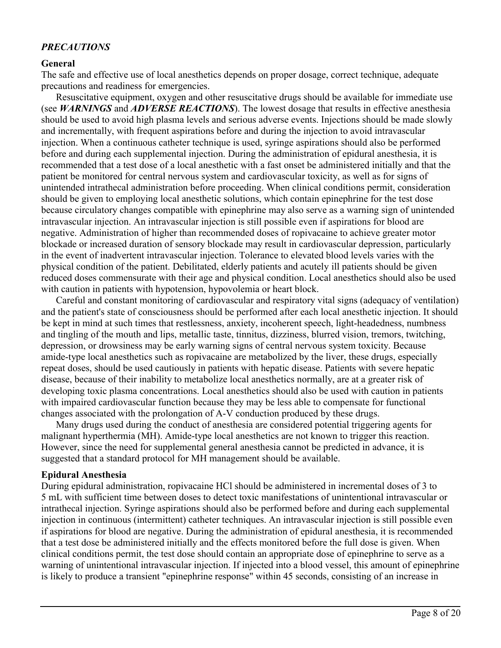## *PRECAUTIONS*

### **General**

The safe and effective use of local anesthetics depends on proper dosage, correct technique, adequate precautions and readiness for emergencies.

Resuscitative equipment, oxygen and other resuscitative drugs should be available for immediate use (see *WARNINGS* and *ADVERSE REACTIONS*). The lowest dosage that results in effective anesthesia should be used to avoid high plasma levels and serious adverse events. Injections should be made slowly and incrementally, with frequent aspirations before and during the injection to avoid intravascular injection. When a continuous catheter technique is used, syringe aspirations should also be performed before and during each supplemental injection. During the administration of epidural anesthesia, it is recommended that a test dose of a local anesthetic with a fast onset be administered initially and that the patient be monitored for central nervous system and cardiovascular toxicity, as well as for signs of unintended intrathecal administration before proceeding. When clinical conditions permit, consideration should be given to employing local anesthetic solutions, which contain epinephrine for the test dose because circulatory changes compatible with epinephrine may also serve as a warning sign of unintended intravascular injection. An intravascular injection is still possible even if aspirations for blood are negative. Administration of higher than recommended doses of ropivacaine to achieve greater motor blockade or increased duration of sensory blockade may result in cardiovascular depression, particularly in the event of inadvertent intravascular injection. Tolerance to elevated blood levels varies with the physical condition of the patient. Debilitated, elderly patients and acutely ill patients should be given reduced doses commensurate with their age and physical condition. Local anesthetics should also be used with caution in patients with hypotension, hypovolemia or heart block.

Careful and constant monitoring of cardiovascular and respiratory vital signs (adequacy of ventilation) and the patient's state of consciousness should be performed after each local anesthetic injection. It should be kept in mind at such times that restlessness, anxiety, incoherent speech, light-headedness, numbness and tingling of the mouth and lips, metallic taste, tinnitus, dizziness, blurred vision, tremors, twitching, depression, or drowsiness may be early warning signs of central nervous system toxicity. Because amide-type local anesthetics such as ropivacaine are metabolized by the liver, these drugs, especially repeat doses, should be used cautiously in patients with hepatic disease. Patients with severe hepatic disease, because of their inability to metabolize local anesthetics normally, are at a greater risk of developing toxic plasma concentrations. Local anesthetics should also be used with caution in patients with impaired cardiovascular function because they may be less able to compensate for functional changes associated with the prolongation of A-V conduction produced by these drugs.

Many drugs used during the conduct of anesthesia are considered potential triggering agents for malignant hyperthermia (MH). Amide-type local anesthetics are not known to trigger this reaction. However, since the need for supplemental general anesthesia cannot be predicted in advance, it is suggested that a standard protocol for MH management should be available.

#### **Epidural Anesthesia**

During epidural administration, ropivacaine HCl should be administered in incremental doses of 3 to 5 mL with sufficient time between doses to detect toxic manifestations of unintentional intravascular or intrathecal injection. Syringe aspirations should also be performed before and during each supplemental injection in continuous (intermittent) catheter techniques. An intravascular injection is still possible even if aspirations for blood are negative. During the administration of epidural anesthesia, it is recommended that a test dose be administered initially and the effects monitored before the full dose is given. When clinical conditions permit, the test dose should contain an appropriate dose of epinephrine to serve as a warning of unintentional intravascular injection. If injected into a blood vessel, this amount of epinephrine is likely to produce a transient "epinephrine response" within 45 seconds, consisting of an increase in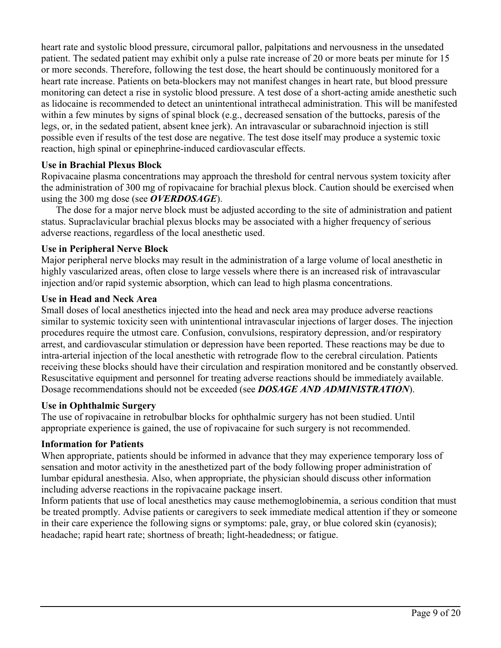heart rate and systolic blood pressure, circumoral pallor, palpitations and nervousness in the unsedated patient. The sedated patient may exhibit only a pulse rate increase of 20 or more beats per minute for 15 or more seconds. Therefore, following the test dose, the heart should be continuously monitored for a heart rate increase. Patients on beta-blockers may not manifest changes in heart rate, but blood pressure monitoring can detect a rise in systolic blood pressure. A test dose of a short-acting amide anesthetic such as lidocaine is recommended to detect an unintentional intrathecal administration. This will be manifested within a few minutes by signs of spinal block (e.g., decreased sensation of the buttocks, paresis of the legs, or, in the sedated patient, absent knee jerk). An intravascular or subarachnoid injection is still possible even if results of the test dose are negative. The test dose itself may produce a systemic toxic reaction, high spinal or epinephrine-induced cardiovascular effects.

### **Use in Brachial Plexus Block**

Ropivacaine plasma concentrations may approach the threshold for central nervous system toxicity after the administration of 300 mg of ropivacaine for brachial plexus block. Caution should be exercised when using the 300 mg dose (see *OVERDOSAGE*).

The dose for a major nerve block must be adjusted according to the site of administration and patient status. Supraclavicular brachial plexus blocks may be associated with a higher frequency of serious adverse reactions, regardless of the local anesthetic used.

## **Use in Peripheral Nerve Block**

Major peripheral nerve blocks may result in the administration of a large volume of local anesthetic in highly vascularized areas, often close to large vessels where there is an increased risk of intravascular injection and/or rapid systemic absorption, which can lead to high plasma concentrations.

### **Use in Head and Neck Area**

Small doses of local anesthetics injected into the head and neck area may produce adverse reactions similar to systemic toxicity seen with unintentional intravascular injections of larger doses. The injection procedures require the utmost care. Confusion, convulsions, respiratory depression, and/or respiratory arrest, and cardiovascular stimulation or depression have been reported. These reactions may be due to intra-arterial injection of the local anesthetic with retrograde flow to the cerebral circulation. Patients receiving these blocks should have their circulation and respiration monitored and be constantly observed. Resuscitative equipment and personnel for treating adverse reactions should be immediately available. Dosage recommendations should not be exceeded (see *DOSAGE AND ADMINISTRATION*).

### **Use in Ophthalmic Surgery**

The use of ropivacaine in retrobulbar blocks for ophthalmic surgery has not been studied. Until appropriate experience is gained, the use of ropivacaine for such surgery is not recommended.

## **Information for Patients**

When appropriate, patients should be informed in advance that they may experience temporary loss of sensation and motor activity in the anesthetized part of the body following proper administration of lumbar epidural anesthesia. Also, when appropriate, the physician should discuss other information including adverse reactions in the ropivacaine package insert.

Inform patients that use of local anesthetics may cause methemoglobinemia, a serious condition that must be treated promptly. Advise patients or caregivers to seek immediate medical attention if they or someone in their care experience the following signs or symptoms: pale, gray, or blue colored skin (cyanosis); headache; rapid heart rate; shortness of breath; light-headedness; or fatigue.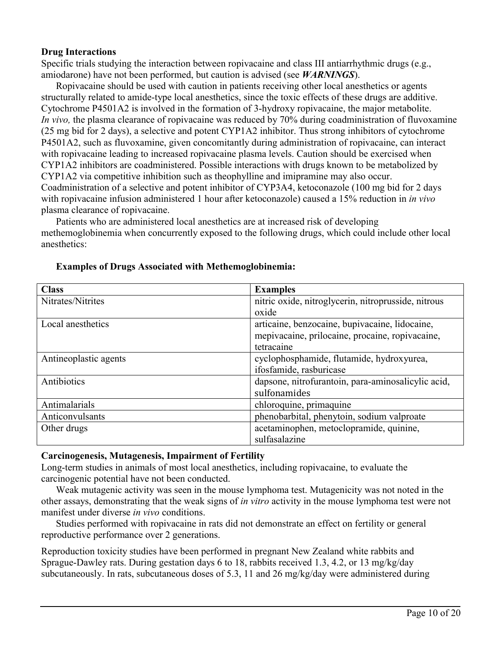#### **Drug Interactions**

Specific trials studying the interaction between ropivacaine and class III antiarrhythmic drugs (e.g., amiodarone) have not been performed, but caution is advised (see *WARNINGS*).

Ropivacaine should be used with caution in patients receiving other local anesthetics or agents structurally related to amide-type local anesthetics, since the toxic effects of these drugs are additive. Cytochrome P4501A2 is involved in the formation of 3-hydroxy ropivacaine, the major metabolite. *In vivo*, the plasma clearance of ropivacaine was reduced by 70% during coadministration of fluvoxamine (25 mg bid for 2 days), a selective and potent CYP1A2 inhibitor. Thus strong inhibitors of cytochrome P4501A2, such as fluvoxamine, given concomitantly during administration of ropivacaine, can interact with ropivacaine leading to increased ropivacaine plasma levels. Caution should be exercised when CYP1A2 inhibitors are coadministered. Possible interactions with drugs known to be metabolized by CYP1A2 via competitive inhibition such as theophylline and imipramine may also occur. Coadministration of a selective and potent inhibitor of CYP3A4, ketoconazole (100 mg bid for 2 days with ropivacaine infusion administered 1 hour after ketoconazole) caused a 15% reduction in *in vivo* plasma clearance of ropivacaine.

Patients who are administered local anesthetics are at increased risk of developing methemoglobinemia when concurrently exposed to the following drugs, which could include other local anesthetics:

| <b>Class</b>          | <b>Examples</b>                                     |
|-----------------------|-----------------------------------------------------|
| Nitrates/Nitrites     | nitric oxide, nitroglycerin, nitroprusside, nitrous |
|                       | oxide                                               |
| Local anesthetics     | articaine, benzocaine, bupivacaine, lidocaine,      |
|                       | mepivacaine, prilocaine, procaine, ropivacaine,     |
|                       | tetracaine                                          |
| Antineoplastic agents | cyclophosphamide, flutamide, hydroxyurea,           |
|                       | ifosfamide, rasburicase                             |
| Antibiotics           | dapsone, nitrofurantoin, para-aminosalicylic acid,  |
|                       | sulfonamides                                        |
| Antimalarials         | chloroquine, primaquine                             |
| Anticonvulsants       | phenobarbital, phenytoin, sodium valproate          |
| Other drugs           | acetaminophen, metoclopramide, quinine,             |
|                       | sulfasalazine                                       |

#### **Examples of Drugs Associated with Methemoglobinemia:**

#### **Carcinogenesis, Mutagenesis, Impairment of Fertility**

Long-term studies in animals of most local anesthetics, including ropivacaine, to evaluate the carcinogenic potential have not been conducted.

Weak mutagenic activity was seen in the mouse lymphoma test. Mutagenicity was not noted in the other assays, demonstrating that the weak signs of *in vitro* activity in the mouse lymphoma test were not manifest under diverse *in vivo* conditions.

Studies performed with ropivacaine in rats did not demonstrate an effect on fertility or general reproductive performance over 2 generations.

Reproduction toxicity studies have been performed in pregnant New Zealand white rabbits and Sprague-Dawley rats. During gestation days 6 to 18, rabbits received 1.3, 4.2, or 13 mg/kg/day subcutaneously. In rats, subcutaneous doses of 5.3, 11 and 26 mg/kg/day were administered during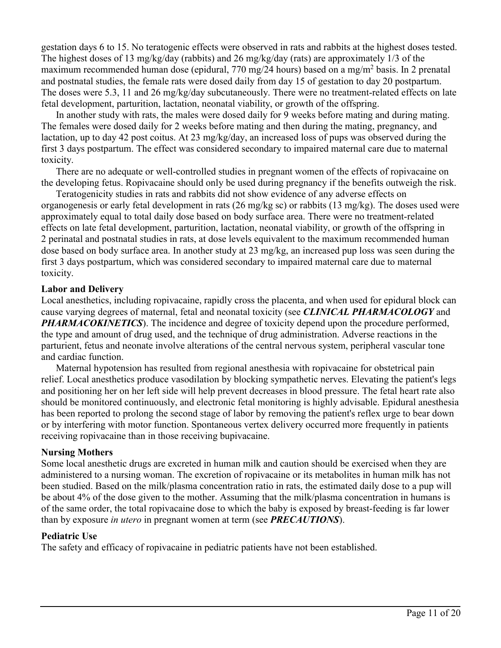gestation days 6 to 15. No teratogenic effects were observed in rats and rabbits at the highest doses tested. The highest doses of 13 mg/kg/day (rabbits) and 26 mg/kg/day (rats) are approximately 1/3 of the maximum recommended human dose (epidural, 770 mg/24 hours) based on a mg/m<sup>2</sup> basis. In 2 prenatal and postnatal studies, the female rats were dosed daily from day 15 of gestation to day 20 postpartum. The doses were 5.3, 11 and 26 mg/kg/day subcutaneously. There were no treatment-related effects on late fetal development, parturition, lactation, neonatal viability, or growth of the offspring.

In another study with rats, the males were dosed daily for 9 weeks before mating and during mating. The females were dosed daily for 2 weeks before mating and then during the mating, pregnancy, and lactation, up to day 42 post coitus. At 23 mg/kg/day, an increased loss of pups was observed during the first 3 days postpartum. The effect was considered secondary to impaired maternal care due to maternal toxicity.

There are no adequate or well-controlled studies in pregnant women of the effects of ropivacaine on the developing fetus. Ropivacaine should only be used during pregnancy if the benefits outweigh the risk.

Teratogenicity studies in rats and rabbits did not show evidence of any adverse effects on organogenesis or early fetal development in rats (26 mg/kg sc) or rabbits (13 mg/kg). The doses used were approximately equal to total daily dose based on body surface area. There were no treatment-related effects on late fetal development, parturition, lactation, neonatal viability, or growth of the offspring in 2 perinatal and postnatal studies in rats, at dose levels equivalent to the maximum recommended human dose based on body surface area. In another study at 23 mg/kg, an increased pup loss was seen during the first 3 days postpartum, which was considered secondary to impaired maternal care due to maternal toxicity.

#### **Labor and Delivery**

Local anesthetics, including ropivacaine, rapidly cross the placenta, and when used for epidural block can cause varying degrees of maternal, fetal and neonatal toxicity (see *CLINICAL PHARMACOLOGY* and *PHARMACOKINETICS*). The incidence and degree of toxicity depend upon the procedure performed, the type and amount of drug used, and the technique of drug administration. Adverse reactions in the parturient, fetus and neonate involve alterations of the central nervous system, peripheral vascular tone and cardiac function.

Maternal hypotension has resulted from regional anesthesia with ropivacaine for obstetrical pain relief. Local anesthetics produce vasodilation by blocking sympathetic nerves. Elevating the patient's legs and positioning her on her left side will help prevent decreases in blood pressure. The fetal heart rate also should be monitored continuously, and electronic fetal monitoring is highly advisable. Epidural anesthesia has been reported to prolong the second stage of labor by removing the patient's reflex urge to bear down or by interfering with motor function. Spontaneous vertex delivery occurred more frequently in patients receiving ropivacaine than in those receiving bupivacaine.

### **Nursing Mothers**

Some local anesthetic drugs are excreted in human milk and caution should be exercised when they are administered to a nursing woman. The excretion of ropivacaine or its metabolites in human milk has not been studied. Based on the milk/plasma concentration ratio in rats, the estimated daily dose to a pup will be about 4% of the dose given to the mother. Assuming that the milk/plasma concentration in humans is of the same order, the total ropivacaine dose to which the baby is exposed by breast-feeding is far lower than by exposure *in utero* in pregnant women at term (see *PRECAUTIONS*).

#### **Pediatric Use**

The safety and efficacy of ropivacaine in pediatric patients have not been established.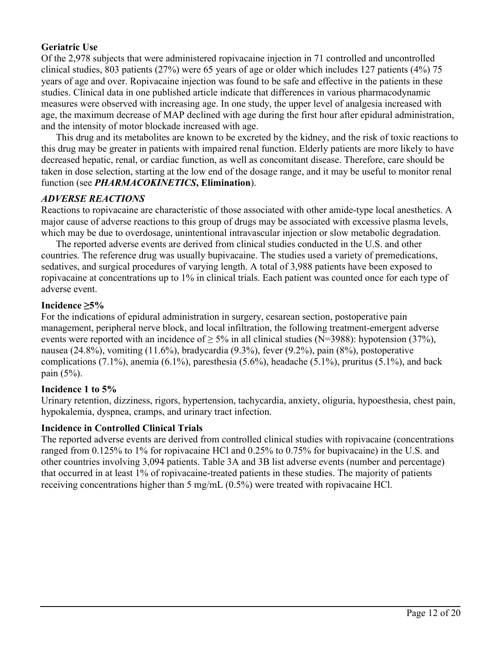## **Geriatric Use**

Of the 2,978 subjects that were administered ropivacaine injection in 71 controlled and uncontrolled clinical studies, 803 patients (27%) were 65 years of age or older which includes 127 patients (4%) 75 years of age and over. Ropivacaine injection was found to be safe and effective in the patients in these studies. Clinical data in one published article indicate that differences in various pharmacodynamic measures were observed with increasing age. In one study, the upper level of analgesia increased with age, the maximum decrease of MAP declined with age during the first hour after epidural administration, and the intensity of motor blockade increased with age.

This drug and its metabolites are known to be excreted by the kidney, and the risk of toxic reactions to this drug may be greater in patients with impaired renal function. Elderly patients are more likely to have decreased hepatic, renal, or cardiac function, as well as concomitant disease. Therefore, care should be taken in dose selection, starting at the low end of the dosage range, and it may be useful to monitor renal function (see *PHARMACOKINETICS***, Elimination**).

### *ADVERSE REACTIONS*

Reactions to ropivacaine are characteristic of those associated with other amide-type local anesthetics. A major cause of adverse reactions to this group of drugs may be associated with excessive plasma levels, which may be due to overdosage, unintentional intravascular injection or slow metabolic degradation.

The reported adverse events are derived from clinical studies conducted in the U.S. and other countries. The reference drug was usually bupivacaine. The studies used a variety of premedications, sedatives, and surgical procedures of varying length. A total of 3,988 patients have been exposed to ropivacaine at concentrations up to 1% in clinical trials. Each patient was counted once for each type of adverse event.

### **Incidence ≥5%**

For the indications of epidural administration in surgery, cesarean section, postoperative pain management, peripheral nerve block, and local infiltration, the following treatment-emergent adverse events were reported with an incidence of  $\geq$  5% in all clinical studies (N=3988): hypotension (37%), nausea (24.8%), vomiting (11.6%), bradycardia (9.3%), fever (9.2%), pain (8%), postoperative complications (7.1%), anemia (6.1%), paresthesia (5.6%), headache (5.1%), pruritus (5.1%), and back pain (5%).

### **Incidence 1 to 5%**

Urinary retention, dizziness, rigors, hypertension, tachycardia, anxiety, oliguria, hypoesthesia, chest pain, hypokalemia, dyspnea, cramps, and urinary tract infection.

### **Incidence in Controlled Clinical Trials**

The reported adverse events are derived from controlled clinical studies with ropivacaine (concentrations ranged from 0.125% to 1% for ropivacaine HCl and 0.25% to 0.75% for bupivacaine) in the U.S. and other countries involving 3,094 patients. Table 3A and 3B list adverse events (number and percentage) that occurred in at least 1% of ropivacaine-treated patients in these studies. The majority of patients receiving concentrations higher than 5 mg/mL (0.5%) were treated with ropivacaine HCl.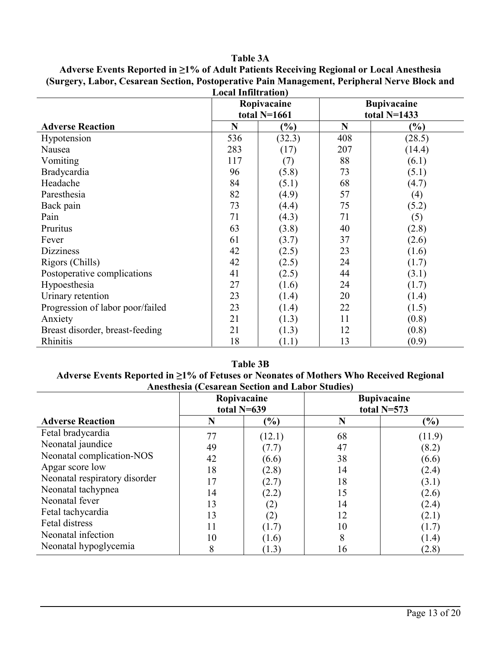#### **Table 3A**

| <b>Local Infiltration</b> )      |     |                               |     |                                      |  |  |  |  |
|----------------------------------|-----|-------------------------------|-----|--------------------------------------|--|--|--|--|
|                                  |     | Ropivacaine<br>total $N=1661$ |     | <b>Bupivacaine</b><br>total $N=1433$ |  |  |  |  |
| <b>Adverse Reaction</b>          | N   | $(\%)$                        | N   | $(\%)$                               |  |  |  |  |
| Hypotension                      | 536 | (32.3)                        | 408 | (28.5)                               |  |  |  |  |
| Nausea                           | 283 | (17)                          | 207 | (14.4)                               |  |  |  |  |
| Vomiting                         | 117 | (7)                           | 88  | (6.1)                                |  |  |  |  |
| Bradycardia                      | 96  | (5.8)                         | 73  | (5.1)                                |  |  |  |  |
| Headache                         | 84  | (5.1)                         | 68  | (4.7)                                |  |  |  |  |
| Paresthesia                      | 82  | (4.9)                         | 57  | (4)                                  |  |  |  |  |
| Back pain                        | 73  | (4.4)                         | 75  | (5.2)                                |  |  |  |  |
| Pain                             | 71  | (4.3)                         | 71  | (5)                                  |  |  |  |  |
| Pruritus                         | 63  | (3.8)                         | 40  | (2.8)                                |  |  |  |  |
| Fever                            | 61  | (3.7)                         | 37  | (2.6)                                |  |  |  |  |
| <b>Dizziness</b>                 | 42  | (2.5)                         | 23  | (1.6)                                |  |  |  |  |
| Rigors (Chills)                  | 42  | (2.5)                         | 24  | (1.7)                                |  |  |  |  |
| Postoperative complications      | 41  | (2.5)                         | 44  | (3.1)                                |  |  |  |  |
| Hypoesthesia                     | 27  | (1.6)                         | 24  | (1.7)                                |  |  |  |  |
| Urinary retention                | 23  | (1.4)                         | 20  | (1.4)                                |  |  |  |  |
| Progression of labor poor/failed | 23  | (1.4)                         | 22  | (1.5)                                |  |  |  |  |
| Anxiety                          | 21  | (1.3)                         | 11  | (0.8)                                |  |  |  |  |
| Breast disorder, breast-feeding  | 21  | (1.3)                         | 12  | (0.8)                                |  |  |  |  |
| Rhinitis                         | 18  | (1.1)                         | 13  | (0.9)                                |  |  |  |  |

**Adverse Events Reported in ≥1% of Adult Patients Receiving Regional or Local Anesthesia (Surgery, Labor, Cesarean Section, Postoperative Pain Management, Peripheral Nerve Block and** 

**Table 3B**

**Adverse Events Reported in ≥1% of Fetuses or Neonates of Mothers Who Received Regional Anesthesia (Cesarean Section and Labor Studies)**

|                               | Ropivacaine<br>total $N=639$ |        |    | <b>Bupivacaine</b><br>total $N=573$ |
|-------------------------------|------------------------------|--------|----|-------------------------------------|
| <b>Adverse Reaction</b>       | N                            | (%)    | N  | (%)                                 |
| Fetal bradycardia             | 77                           | (12.1) | 68 | (11.9)                              |
| Neonatal jaundice             | 49                           | (7.7)  | 47 | (8.2)                               |
| Neonatal complication-NOS     | 42                           | (6.6)  | 38 | (6.6)                               |
| Apgar score low               | 18                           | (2.8)  | 14 | (2.4)                               |
| Neonatal respiratory disorder | 17                           | (2.7)  | 18 | (3.1)                               |
| Neonatal tachypnea            | 14                           | (2.2)  | 15 | (2.6)                               |
| Neonatal fever                | 13                           | (2)    | 14 | (2.4)                               |
| Fetal tachycardia             | 13                           | (2)    | 12 | (2.1)                               |
| Fetal distress                | 11                           | (1.7)  | 10 | (1.7)                               |
| Neonatal infection            | 10                           | (1.6)  | 8  | (1.4)                               |
| Neonatal hypoglycemia         | 8                            | (1.3)  | 16 | (2.8)                               |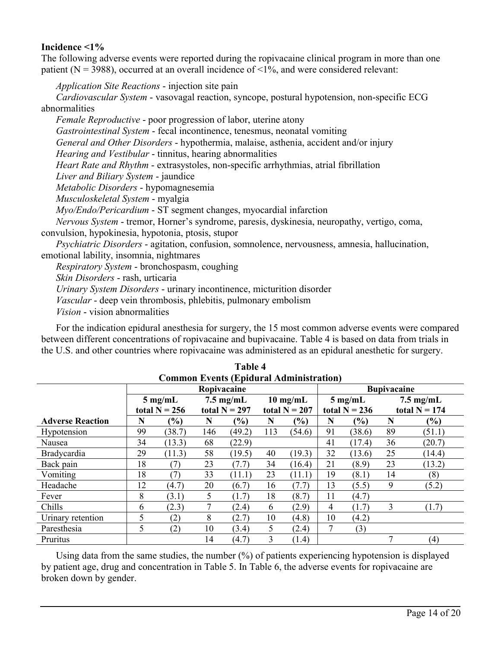#### **Incidence <1%**

The following adverse events were reported during the ropivacaine clinical program in more than one patient ( $N = 3988$ ), occurred at an overall incidence of  $\leq 1\%$ , and were considered relevant:

*Application Site Reactions* - injection site pain

*Cardiovascular System* - vasovagal reaction, syncope, postural hypotension, non-specific ECG abnormalities

*Female Reproductive* - poor progression of labor, uterine atony *Gastrointestinal System* - fecal incontinence, tenesmus, neonatal vomiting *General and Other Disorders* - hypothermia, malaise, asthenia, accident and/or injury *Hearing and Vestibular* - tinnitus, hearing abnormalities *Heart Rate and Rhythm* - extrasystoles, non-specific arrhythmias, atrial fibrillation *Liver and Biliary System* - jaundice *Metabolic Disorders* - hypomagnesemia *Musculoskeletal System* - myalgia *Myo/Endo/Pericardium* - ST segment changes, myocardial infarction *Nervous System* - tremor, Horner's syndrome, paresis, dyskinesia, neuropathy, vertigo, coma, convulsion, hypokinesia, hypotonia, ptosis, stupor *Psychiatric Disorders* - agitation, confusion, somnolence, nervousness, amnesia, hallucination,

emotional lability, insomnia, nightmares

*Respiratory System* - bronchospasm, coughing

*Skin Disorders* - rash, urticaria

*Urinary System Disorders* - urinary incontinence, micturition disorder

*Vascular* - deep vein thrombosis, phlebitis, pulmonary embolism

*Vision* - vision abnormalities

For the indication epidural anesthesia for surgery, the 15 most common adverse events were compared between different concentrations of ropivacaine and bupivacaine. Table 4 is based on data from trials in the U.S. and other countries where ropivacaine was administered as an epidural anesthetic for surgery.

| <b>Common Events (Epidural Administration)</b> |             |                   |     |                     |     |                    |                   |                    |                     |        |  |  |
|------------------------------------------------|-------------|-------------------|-----|---------------------|-----|--------------------|-------------------|--------------------|---------------------|--------|--|--|
|                                                | Ropivacaine |                   |     |                     |     |                    |                   | <b>Bupivacaine</b> |                     |        |  |  |
|                                                |             | $5 \text{ mg/mL}$ |     | $7.5 \text{ mg/mL}$ |     | $10 \text{ mg/mL}$ | $5 \text{ mg/mL}$ |                    | $7.5 \text{ mg/mL}$ |        |  |  |
|                                                |             | total $N = 256$   |     | total $N = 297$     |     | total $N = 207$    | total $N = 236$   |                    | total $N = 174$     |        |  |  |
| <b>Adverse Reaction</b>                        | N           | $(\%)$            | N   | $\frac{1}{2}$       | N   | $\frac{6}{6}$      | N                 | $(\%)$             | N                   | $(\%)$ |  |  |
| Hypotension                                    | 99          | (38.7)            | 146 | (49.2)              | 113 | (54.6)             | 91                | (38.6)             | 89                  | (51.1) |  |  |
| Nausea                                         | 34          | (13.3)            | 68  | (22.9)              |     |                    | 41                | (17.4)             | 36                  | (20.7) |  |  |
| Bradycardia                                    | 29          | (11.3)            | 58  | (19.5)              | 40  | (19.3)             | 32                | (13.6)             | 25                  | (14.4) |  |  |
| Back pain                                      | 18          | (7)               | 23  | (7.7)               | 34  | (16.4)             | 21                | (8.9)              | 23                  | (13.2) |  |  |
| Vomiting                                       | 18          | (7)               | 33  | (11.1)              | 23  | (11.1)             | 19                | (8.1)              | 14                  | (8)    |  |  |
| Headache                                       | 12          | (4.7)             | 20  | (6.7)               | 16  | (7.7)              | 13                | (5.5)              | 9                   | (5.2)  |  |  |
| Fever                                          | 8           | (3.1)             | 5.  | (1.7)               | 18  | (8.7)              | 11                | (4.7)              |                     |        |  |  |
| Chills                                         | 6           | (2.3)             |     | (2.4)               | 6   | (2.9)              | 4                 | (1.7)              | 3                   | (1.7)  |  |  |
| Urinary retention                              | 5           | (2)               | 8   | (2.7)               | 10  | (4.8)              | 10                | (4.2)              |                     |        |  |  |
| Paresthesia                                    | 5           | (2)               | 10  | (3.4)               | 5   | (2.4)              |                   | (3)                |                     |        |  |  |
| Pruritus                                       |             |                   | 14  | (4.7)               | 3   | (1.4)              |                   |                    | 7                   | (4)    |  |  |

| Table 4 |  |                                                |  |  |  |  |
|---------|--|------------------------------------------------|--|--|--|--|
|         |  | <b>Common Events (Epidural Administration)</b> |  |  |  |  |

Using data from the same studies, the number (%) of patients experiencing hypotension is displayed by patient age, drug and concentration in Table 5. In Table 6, the adverse events for ropivacaine are broken down by gender.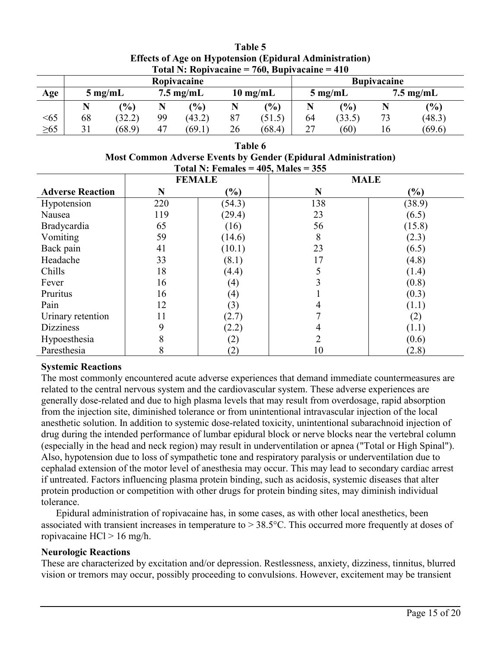| Total N: Ropivacaine = $760$ , Bupivacaine = $410$ |             |                   |                                           |        |    |                   |    |                     |                    |        |
|----------------------------------------------------|-------------|-------------------|-------------------------------------------|--------|----|-------------------|----|---------------------|--------------------|--------|
|                                                    | Ropivacaine |                   |                                           |        |    |                   |    |                     | <b>Bupivacaine</b> |        |
| Age                                                |             | $5 \text{ mg/mL}$ | $7.5 \text{ mg/mL}$<br>$10 \text{ mg/mL}$ |        |    | $5 \text{ mg/mL}$ |    | $7.5 \text{ mg/mL}$ |                    |        |
|                                                    | N           | $\frac{1}{2}$     | N                                         | (%)    |    | $\frac{10}{6}$    |    | $\frac{9}{6}$       |                    | $(\%)$ |
| <65                                                | 68          | (32.2)            | 99                                        | (43.2) | 87 | (51.5)            | 64 | (33.5)              | 73                 | (48.3) |
| $\geq 65$                                          | 31          | (68.9)            | 47                                        | (69.1) | 26 | (68.4)            | 27 | (60)                | 16                 | (69.6) |

**Table 5 Effects of Age on Hypotension (Epidural Administration)**

| Table 6                                                               |
|-----------------------------------------------------------------------|
| <b>Most Common Adverse Events by Gender (Epidural Administration)</b> |
| Total N: Females = $405$ , Males = $355$                              |

| <b>10tal IV.</b> Females – 405, Males – 333 |               |               |                       |               |  |  |  |  |  |  |
|---------------------------------------------|---------------|---------------|-----------------------|---------------|--|--|--|--|--|--|
|                                             | <b>FEMALE</b> | <b>MALE</b>   |                       |               |  |  |  |  |  |  |
| <b>Adverse Reaction</b>                     | N             | $\frac{6}{6}$ | N                     | $\frac{6}{6}$ |  |  |  |  |  |  |
| Hypotension                                 | 220           | (54.3)        | 138                   | (38.9)        |  |  |  |  |  |  |
| Nausea                                      | 119           | (29.4)        | 23                    | (6.5)         |  |  |  |  |  |  |
| Bradycardia                                 | 65            | (16)          | 56                    | (15.8)        |  |  |  |  |  |  |
| Vomiting                                    | 59            | (14.6)        | 8                     | (2.3)         |  |  |  |  |  |  |
| Back pain                                   | 41            | (10.1)        | 23                    | (6.5)         |  |  |  |  |  |  |
| Headache                                    | 33            | (8.1)         |                       | (4.8)         |  |  |  |  |  |  |
| Chills                                      | 18            | (4.4)         |                       | (1.4)         |  |  |  |  |  |  |
| Fever                                       | 16            | (4)           |                       | (0.8)         |  |  |  |  |  |  |
| Pruritus                                    | 16            | (4)           |                       | (0.3)         |  |  |  |  |  |  |
| Pain                                        | 12            | (3)           |                       | (1.1)         |  |  |  |  |  |  |
| Urinary retention                           | 11            | (2.7)         |                       | (2)           |  |  |  |  |  |  |
| <b>Dizziness</b>                            | 9             | (2.2)         | 4                     | (1.1)         |  |  |  |  |  |  |
| Hypoesthesia                                | 8             | (2)           | $\mathcal{D}_{\cdot}$ | (0.6)         |  |  |  |  |  |  |
| Paresthesia                                 | 8             | (2)           | 10                    | (2.8)         |  |  |  |  |  |  |

## **Systemic Reactions**

The most commonly encountered acute adverse experiences that demand immediate countermeasures are related to the central nervous system and the cardiovascular system. These adverse experiences are generally dose-related and due to high plasma levels that may result from overdosage, rapid absorption from the injection site, diminished tolerance or from unintentional intravascular injection of the local anesthetic solution. In addition to systemic dose-related toxicity, unintentional subarachnoid injection of drug during the intended performance of lumbar epidural block or nerve blocks near the vertebral column (especially in the head and neck region) may result in underventilation or apnea ("Total or High Spinal"). Also, hypotension due to loss of sympathetic tone and respiratory paralysis or underventilation due to cephalad extension of the motor level of anesthesia may occur. This may lead to secondary cardiac arrest if untreated. Factors influencing plasma protein binding, such as acidosis, systemic diseases that alter protein production or competition with other drugs for protein binding sites, may diminish individual tolerance.

Epidural administration of ropivacaine has, in some cases, as with other local anesthetics, been associated with transient increases in temperature to > 38.5°C. This occurred more frequently at doses of ropivacaine HCl > 16 mg/h.

#### **Neurologic Reactions**

These are characterized by excitation and/or depression. Restlessness, anxiety, dizziness, tinnitus, blurred vision or tremors may occur, possibly proceeding to convulsions. However, excitement may be transient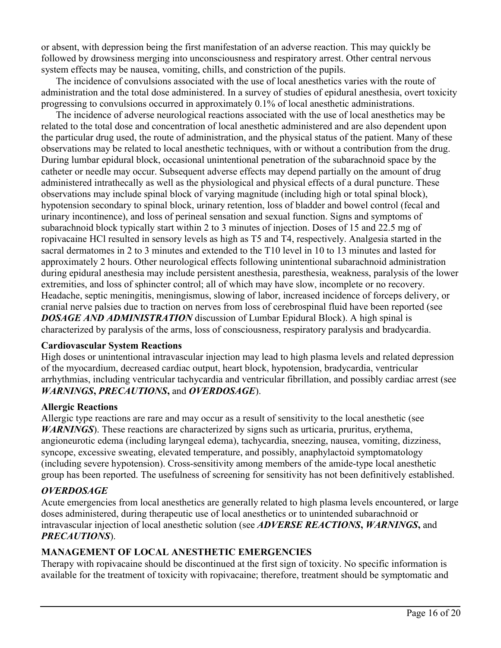or absent, with depression being the first manifestation of an adverse reaction. This may quickly be followed by drowsiness merging into unconsciousness and respiratory arrest. Other central nervous system effects may be nausea, vomiting, chills, and constriction of the pupils.

The incidence of convulsions associated with the use of local anesthetics varies with the route of administration and the total dose administered. In a survey of studies of epidural anesthesia, overt toxicity progressing to convulsions occurred in approximately 0.1% of local anesthetic administrations.

The incidence of adverse neurological reactions associated with the use of local anesthetics may be related to the total dose and concentration of local anesthetic administered and are also dependent upon the particular drug used, the route of administration, and the physical status of the patient. Many of these observations may be related to local anesthetic techniques, with or without a contribution from the drug. During lumbar epidural block, occasional unintentional penetration of the subarachnoid space by the catheter or needle may occur. Subsequent adverse effects may depend partially on the amount of drug administered intrathecally as well as the physiological and physical effects of a dural puncture. These observations may include spinal block of varying magnitude (including high or total spinal block), hypotension secondary to spinal block, urinary retention, loss of bladder and bowel control (fecal and urinary incontinence), and loss of perineal sensation and sexual function. Signs and symptoms of subarachnoid block typically start within 2 to 3 minutes of injection. Doses of 15 and 22.5 mg of ropivacaine HCl resulted in sensory levels as high as T5 and T4, respectively. Analgesia started in the sacral dermatomes in 2 to 3 minutes and extended to the T10 level in 10 to 13 minutes and lasted for approximately 2 hours. Other neurological effects following unintentional subarachnoid administration during epidural anesthesia may include persistent anesthesia, paresthesia, weakness, paralysis of the lower extremities, and loss of sphincter control; all of which may have slow, incomplete or no recovery. Headache, septic meningitis, meningismus, slowing of labor, increased incidence of forceps delivery, or cranial nerve palsies due to traction on nerves from loss of cerebrospinal fluid have been reported (see **DOSAGE AND ADMINISTRATION** discussion of Lumbar Epidural Block). A high spinal is characterized by paralysis of the arms, loss of consciousness, respiratory paralysis and bradycardia.

### **Cardiovascular System Reactions**

High doses or unintentional intravascular injection may lead to high plasma levels and related depression of the myocardium, decreased cardiac output, heart block, hypotension, bradycardia, ventricular arrhythmias, including ventricular tachycardia and ventricular fibrillation, and possibly cardiac arrest (see *WARNINGS***,** *PRECAUTIONS***,** and *OVERDOSAGE*).

### **Allergic Reactions**

Allergic type reactions are rare and may occur as a result of sensitivity to the local anesthetic (see *WARNINGS*). These reactions are characterized by signs such as urticaria, pruritus, erythema, angioneurotic edema (including laryngeal edema), tachycardia, sneezing, nausea, vomiting, dizziness, syncope, excessive sweating, elevated temperature, and possibly, anaphylactoid symptomatology (including severe hypotension). Cross-sensitivity among members of the amide-type local anesthetic group has been reported. The usefulness of screening for sensitivity has not been definitively established.

## *OVERDOSAGE*

Acute emergencies from local anesthetics are generally related to high plasma levels encountered, or large doses administered, during therapeutic use of local anesthetics or to unintended subarachnoid or intravascular injection of local anesthetic solution (see *ADVERSE REACTIONS***,** *WARNINGS***,** and *PRECAUTIONS*).

## **MANAGEMENT OF LOCAL ANESTHETIC EMERGENCIES**

Therapy with ropivacaine should be discontinued at the first sign of toxicity. No specific information is available for the treatment of toxicity with ropivacaine; therefore, treatment should be symptomatic and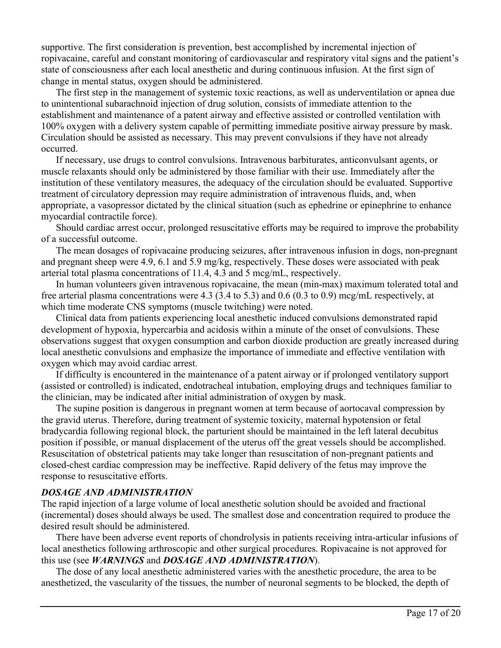supportive. The first consideration is prevention, best accomplished by incremental injection of ropivacaine, careful and constant monitoring of cardiovascular and respiratory vital signs and the patient's state of consciousness after each local anesthetic and during continuous infusion. At the first sign of change in mental status, oxygen should be administered.

The first step in the management of systemic toxic reactions, as well as underventilation or apnea due to unintentional subarachnoid injection of drug solution, consists of immediate attention to the establishment and maintenance of a patent airway and effective assisted or controlled ventilation with 100% oxygen with a delivery system capable of permitting immediate positive airway pressure by mask. Circulation should be assisted as necessary. This may prevent convulsions if they have not already occurred.

If necessary, use drugs to control convulsions. Intravenous barbiturates, anticonvulsant agents, or muscle relaxants should only be administered by those familiar with their use. Immediately after the institution of these ventilatory measures, the adequacy of the circulation should be evaluated. Supportive treatment of circulatory depression may require administration of intravenous fluids, and, when appropriate, a vasopressor dictated by the clinical situation (such as ephedrine or epinephrine to enhance myocardial contractile force).

Should cardiac arrest occur, prolonged resuscitative efforts may be required to improve the probability of a successful outcome.

The mean dosages of ropivacaine producing seizures, after intravenous infusion in dogs, non-pregnant and pregnant sheep were 4.9, 6.1 and 5.9 mg/kg, respectively. These doses were associated with peak arterial total plasma concentrations of 11.4, 4.3 and 5 mcg/mL, respectively.

In human volunteers given intravenous ropivacaine, the mean (min-max) maximum tolerated total and free arterial plasma concentrations were 4.3 (3.4 to 5.3) and 0.6 (0.3 to 0.9) mcg/mL respectively, at which time moderate CNS symptoms (muscle twitching) were noted.

Clinical data from patients experiencing local anesthetic induced convulsions demonstrated rapid development of hypoxia, hypercarbia and acidosis within a minute of the onset of convulsions. These observations suggest that oxygen consumption and carbon dioxide production are greatly increased during local anesthetic convulsions and emphasize the importance of immediate and effective ventilation with oxygen which may avoid cardiac arrest.

If difficulty is encountered in the maintenance of a patent airway or if prolonged ventilatory support (assisted or controlled) is indicated, endotracheal intubation, employing drugs and techniques familiar to the clinician, may be indicated after initial administration of oxygen by mask.

The supine position is dangerous in pregnant women at term because of aortocaval compression by the gravid uterus. Therefore, during treatment of systemic toxicity, maternal hypotension or fetal bradycardia following regional block, the parturient should be maintained in the left lateral decubitus position if possible, or manual displacement of the uterus off the great vessels should be accomplished. Resuscitation of obstetrical patients may take longer than resuscitation of non-pregnant patients and closed-chest cardiac compression may be ineffective. Rapid delivery of the fetus may improve the response to resuscitative efforts.

#### *DOSAGE AND ADMINISTRATION*

The rapid injection of a large volume of local anesthetic solution should be avoided and fractional (incremental) doses should always be used. The smallest dose and concentration required to produce the desired result should be administered.

There have been adverse event reports of chondrolysis in patients receiving intra-articular infusions of local anesthetics following arthroscopic and other surgical procedures. Ropivacaine is not approved for this use (see *WARNINGS* and *DOSAGE AND ADMINISTRATION*).

The dose of any local anesthetic administered varies with the anesthetic procedure, the area to be anesthetized, the vascularity of the tissues, the number of neuronal segments to be blocked, the depth of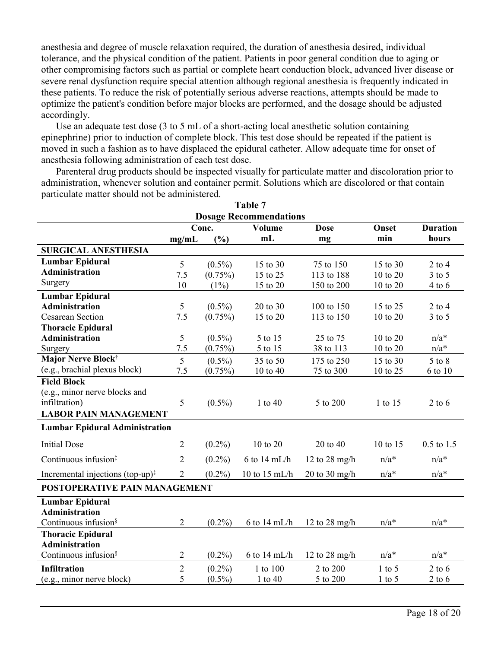anesthesia and degree of muscle relaxation required, the duration of anesthesia desired, individual tolerance, and the physical condition of the patient. Patients in poor general condition due to aging or other compromising factors such as partial or complete heart conduction block, advanced liver disease or severe renal dysfunction require special attention although regional anesthesia is frequently indicated in these patients. To reduce the risk of potentially serious adverse reactions, attempts should be made to optimize the patient's condition before major blocks are performed, and the dosage should be adjusted accordingly.

Use an adequate test dose (3 to 5 mL of a short-acting local anesthetic solution containing epinephrine) prior to induction of complete block. This test dose should be repeated if the patient is moved in such a fashion as to have displaced the epidural catheter. Allow adequate time for onset of anesthesia following administration of each test dose.

Parenteral drug products should be inspected visually for particulate matter and discoloration prior to administration, whenever solution and container permit. Solutions which are discolored or that contain particulate matter should not be administered. **Table 7** 

| Table 7                                                          |                |            |                  |                         |                |                 |  |
|------------------------------------------------------------------|----------------|------------|------------------|-------------------------|----------------|-----------------|--|
| <b>Dosage Recommendations</b>                                    |                |            |                  |                         |                |                 |  |
|                                                                  | Conc.          |            | <b>Volume</b>    | <b>Dose</b>             | <b>Onset</b>   | <b>Duration</b> |  |
|                                                                  | mg/mL          | (%)        | m <sub>L</sub>   | mg                      | min            | hours           |  |
| <b>SURGICAL ANESTHESIA</b>                                       |                |            |                  |                         |                |                 |  |
| <b>Lumbar Epidural</b>                                           | 5              | $(0.5\%)$  | 15 to 30         | 75 to 150               | 15 to 30       | $2$ to $4\,$    |  |
| <b>Administration</b>                                            | 7.5            | $(0.75\%)$ | 15 to 25         | 113 to 188              | 10 to 20       | $3$ to $5$      |  |
| Surgery                                                          | 10             | $(1\%)$    | 15 to 20         | 150 to 200              | $10$ to $20\,$ | $4$ to $6$      |  |
| <b>Lumbar Epidural</b>                                           |                |            |                  |                         |                |                 |  |
| <b>Administration</b>                                            | 5              | $(0.5\%)$  | 20 to 30         | 100 to 150              | 15 to 25       | $2$ to $4$      |  |
| <b>Cesarean Section</b>                                          | 7.5            | $(0.75\%)$ | 15 to 20         | 113 to 150              | 10 to 20       | $3$ to $5$      |  |
| <b>Thoracic Epidural</b>                                         |                |            |                  |                         |                |                 |  |
| <b>Administration</b>                                            | 5              | $(0.5\%)$  | 5 to 15          | 25 to 75                | 10 to 20       | $n/a*$          |  |
| Surgery                                                          | 7.5            | $(0.75\%)$ | 5 to 15          | 38 to 113               | 10 to 20       | $n/a*$          |  |
| <b>Major Nerve Block<sup>†</sup></b>                             | 5              | $(0.5\%)$  | 35 to 50         | 175 to 250              | 15 to 30       | $5$ to $8$      |  |
| (e.g., brachial plexus block)                                    | 7.5            | (0.75%)    | 10 to 40         | 75 to 300               | 10 to 25       | 6 to 10         |  |
| <b>Field Block</b>                                               |                |            |                  |                         |                |                 |  |
| (e.g., minor nerve blocks and                                    |                |            |                  |                         |                |                 |  |
| infiltration)                                                    | 5              | $(0.5\%)$  | 1 to 40          | 5 to 200                | 1 to 15        | $2$ to $6$      |  |
| <b>LABOR PAIN MANAGEMENT</b>                                     |                |            |                  |                         |                |                 |  |
| <b>Lumbar Epidural Administration</b>                            |                |            |                  |                         |                |                 |  |
| <b>Initial Dose</b>                                              | $\overline{2}$ | $(0.2\%)$  | 10 to 20         | 20 to 40                | 10 to 15       | $0.5$ to $1.5$  |  |
| Continuous infusion <sup>‡</sup>                                 | $\overline{2}$ | $(0.2\%)$  | $6$ to 14 mL/h   | 12 to $28 \text{ mg/h}$ | $n/a*$         | $n/a*$          |  |
| Incremental injections (top-up) <sup><math>\ddagger</math></sup> | $\overline{2}$ | $(0.2\%)$  | 10 to 15 mL/h    | 20 to 30 mg/h           | $n/a*$         | $n/a^*$         |  |
| POSTOPERATIVE PAIN MANAGEMENT                                    |                |            |                  |                         |                |                 |  |
| <b>Lumbar Epidural</b>                                           |                |            |                  |                         |                |                 |  |
| <b>Administration</b>                                            |                |            |                  |                         |                |                 |  |
| Continuous infusion <sup>§</sup>                                 | $\overline{c}$ | $(0.2\%)$  | $6$ to 14 mL/h   | 12 to $28 \text{ mg/h}$ | $n/a*$         | $n/a*$          |  |
| <b>Thoracic Epidural</b>                                         |                |            |                  |                         |                |                 |  |
| <b>Administration</b>                                            |                |            |                  |                         |                |                 |  |
| Continuous infusion <sup>§</sup>                                 | 2              | $(0.2\%)$  | $6$ to $14$ mL/h | 12 to $28 \text{ mg/h}$ | $n/a*$         | $n/a*$          |  |
| <b>Infiltration</b>                                              | $\overline{c}$ | $(0.2\%)$  | 1 to 100         | 2 to 200                | $1$ to 5       | $2$ to $6$      |  |
| (e.g., minor nerve block)                                        | 5              | $(0.5\%)$  | 1 to 40          | 5 to 200                | $1$ to 5       | $2$ to $6$      |  |
|                                                                  |                |            |                  |                         |                |                 |  |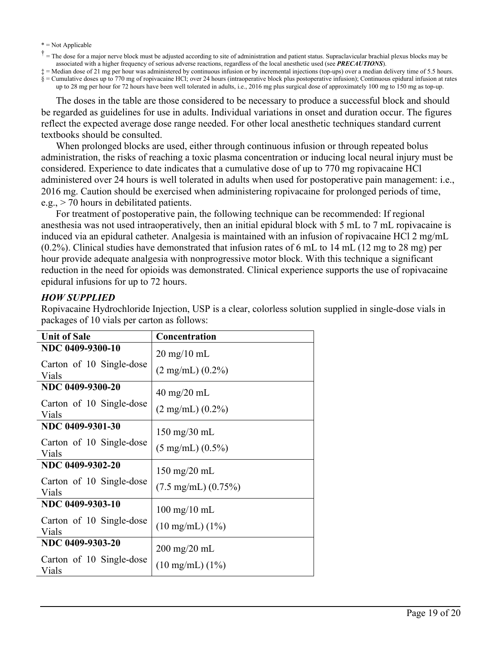#### \* = Not Applicable

 $\ddot{\phantom{\phi}}$  = The dose for a major nerve block must be adjusted according to site of administration and patient status. Supraclavicular brachial plexus blocks may be associated with a higher frequency of serious adverse reactions, regardless of the local anesthetic used (see *PRECAUTIONS*).

‡ = Median dose of 21 mg per hour was administered by continuous infusion or by incremental injections (top-ups) over a median delivery time of 5.5 hours. § = Cumulative doses up to 770 mg of ropivacaine HCl; over 24 hours (intraoperative block plus postoperative infusion); Continuous epidural infusion at rates

up to 28 mg per hour for 72 hours have been well tolerated in adults, i.e., 2016 mg plus surgical dose of approximately 100 mg to 150 mg as top-up.

The doses in the table are those considered to be necessary to produce a successful block and should be regarded as guidelines for use in adults. Individual variations in onset and duration occur. The figures reflect the expected average dose range needed. For other local anesthetic techniques standard current textbooks should be consulted.

When prolonged blocks are used, either through continuous infusion or through repeated bolus administration, the risks of reaching a toxic plasma concentration or inducing local neural injury must be considered. Experience to date indicates that a cumulative dose of up to 770 mg ropivacaine HCl administered over 24 hours is well tolerated in adults when used for postoperative pain management: i.e., 2016 mg. Caution should be exercised when administering ropivacaine for prolonged periods of time, e.g., > 70 hours in debilitated patients.

For treatment of postoperative pain, the following technique can be recommended: If regional anesthesia was not used intraoperatively, then an initial epidural block with 5 mL to 7 mL ropivacaine is induced via an epidural catheter. Analgesia is maintained with an infusion of ropivacaine HCl 2 mg/mL (0.2%). Clinical studies have demonstrated that infusion rates of 6 mL to 14 mL (12 mg to 28 mg) per hour provide adequate analgesia with nonprogressive motor block. With this technique a significant reduction in the need for opioids was demonstrated. Clinical experience supports the use of ropivacaine epidural infusions for up to 72 hours.

### *HOW SUPPLIED*

Ropivacaine Hydrochloride Injection, USP is a clear, colorless solution supplied in single-dose vials in packages of 10 vials per carton as follows:

| <b>Unit of Sale</b>                                   | Concentration                                                |  |  |
|-------------------------------------------------------|--------------------------------------------------------------|--|--|
| NDC 0409-9300-10<br>Carton of 10 Single-dose<br>Vials | $20 \text{ mg}/10 \text{ mL}$<br>$(2 \text{ mg/mL}) (0.2\%)$ |  |  |
| NDC 0409-9300-20                                      |                                                              |  |  |
| Carton of 10 Single-dose                              | $40 \text{ mg}/20 \text{ mL}$                                |  |  |
| Vials                                                 | $(2 \text{ mg/mL}) (0.2\%)$                                  |  |  |
| NDC 0409-9301-30                                      | $150 \text{ mg}/30 \text{ mL}$                               |  |  |
| Carton of 10 Single-dose                              |                                                              |  |  |
| Vials                                                 | $(5 \text{ mg/mL}) (0.5\%)$                                  |  |  |
| NDC 0409-9302-20                                      | $150 \text{ mg}/20 \text{ mL}$                               |  |  |
| Carton of 10 Single-dose                              | $(7.5 \text{ mg/mL})$ $(0.75\%)$                             |  |  |
| Vials                                                 |                                                              |  |  |
| NDC 0409-9303-10                                      | $100 \text{ mg}/10 \text{ mL}$                               |  |  |
| Carton of 10 Single-dose                              | $(10 \text{ mg/mL}) (1\%)$                                   |  |  |
| Vials                                                 |                                                              |  |  |
| NDC 0409-9303-20                                      | $200 \text{ mg}/20 \text{ mL}$                               |  |  |
| Carton of 10 Single-dose                              | $(10 \text{ mg/mL}) (1\%)$                                   |  |  |
| Vials                                                 |                                                              |  |  |